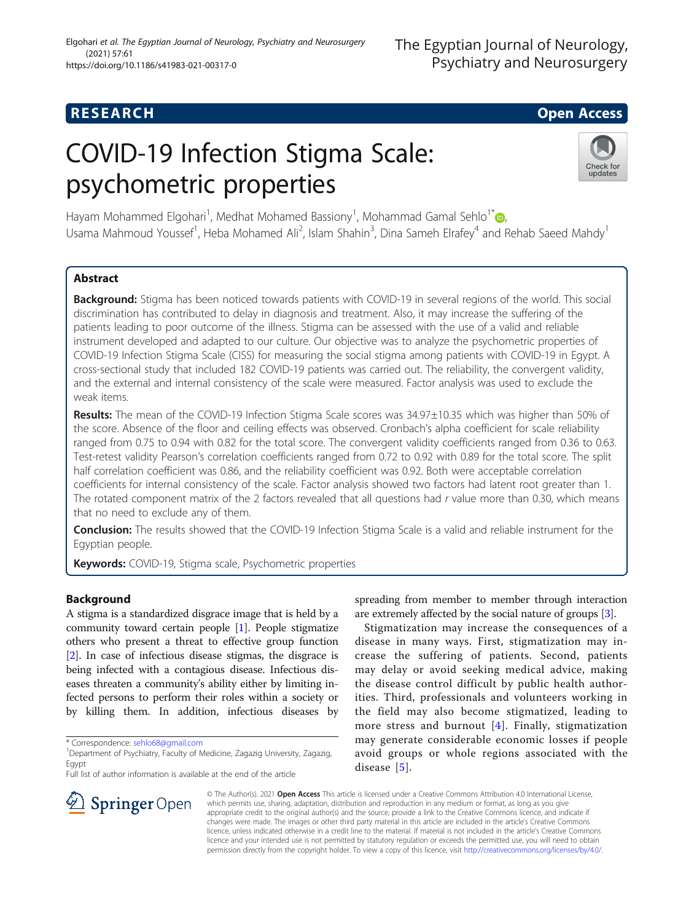# **RESEARCH CHE Open Access**

# COVID-19 Infection Stigma Scale: psychometric properties



Hayam Mohammed Elgohari<sup>1</sup>[,](http://orcid.org/0000-0003-1479-4094) Medhat Mohamed Bassiony<sup>1</sup>, Mohammad Gamal Sehlo<sup>1\*</sup>@, Usama Mahmoud Youssef<sup>1</sup>, Heba Mohamed Ali<sup>2</sup>, Islam Shahin<sup>3</sup>, Dina Sameh Elrafey<sup>4</sup> and Rehab Saeed Mahdy<sup>1</sup>

# Abstract

Background: Stigma has been noticed towards patients with COVID-19 in several regions of the world. This social discrimination has contributed to delay in diagnosis and treatment. Also, it may increase the suffering of the patients leading to poor outcome of the illness. Stigma can be assessed with the use of a valid and reliable instrument developed and adapted to our culture. Our objective was to analyze the psychometric properties of COVID-19 Infection Stigma Scale (CISS) for measuring the social stigma among patients with COVID-19 in Egypt. A cross-sectional study that included 182 COVID-19 patients was carried out. The reliability, the convergent validity, and the external and internal consistency of the scale were measured. Factor analysis was used to exclude the weak items.

Results: The mean of the COVID-19 Infection Stigma Scale scores was 34.97±10.35 which was higher than 50% of the score. Absence of the floor and ceiling effects was observed. Cronbach's alpha coefficient for scale reliability ranged from 0.75 to 0.94 with 0.82 for the total score. The convergent validity coefficients ranged from 0.36 to 0.63. Test-retest validity Pearson's correlation coefficients ranged from 0.72 to 0.92 with 0.89 for the total score. The split half correlation coefficient was 0.86, and the reliability coefficient was 0.92. Both were acceptable correlation coefficients for internal consistency of the scale. Factor analysis showed two factors had latent root greater than 1. The rotated component matrix of the 2 factors revealed that all questions had r value more than 0.30, which means that no need to exclude any of them.

Conclusion: The results showed that the COVID-19 Infection Stigma Scale is a valid and reliable instrument for the Egyptian people.

Keywords: COVID-19, Stigma scale, Psychometric properties

## Background

A stigma is a standardized disgrace image that is held by a community toward certain people [[1\]](#page-5-0). People stigmatize others who present a threat to effective group function [[2\]](#page-5-0). In case of infectious disease stigmas, the disgrace is being infected with a contagious disease. Infectious diseases threaten a community's ability either by limiting infected persons to perform their roles within a society or by killing them. In addition, infectious diseases by

Full list of author information is available at the end of the article

spreading from member to member through interaction are extremely affected by the social nature of groups [\[3\]](#page-5-0).

Stigmatization may increase the consequences of a disease in many ways. First, stigmatization may increase the suffering of patients. Second, patients may delay or avoid seeking medical advice, making the disease control difficult by public health authorities. Third, professionals and volunteers working in the field may also become stigmatized, leading to more stress and burnout [[4](#page-5-0)]. Finally, stigmatization may generate considerable economic losses if people avoid groups or whole regions associated with the disease [[5\]](#page-5-0).



© The Author(s). 2021 Open Access This article is licensed under a Creative Commons Attribution 4.0 International License, which permits use, sharing, adaptation, distribution and reproduction in any medium or format, as long as you give appropriate credit to the original author(s) and the source, provide a link to the Creative Commons licence, and indicate if changes were made. The images or other third party material in this article are included in the article's Creative Commons licence, unless indicated otherwise in a credit line to the material. If material is not included in the article's Creative Commons licence and your intended use is not permitted by statutory regulation or exceeds the permitted use, you will need to obtain permission directly from the copyright holder. To view a copy of this licence, visit <http://creativecommons.org/licenses/by/4.0/>.

<sup>\*</sup> Correspondence: [sehlo68@gmail.com](mailto:sehlo68@gmail.com) <sup>1</sup>

<sup>&</sup>lt;sup>1</sup> Department of Psychiatry, Faculty of Medicine, Zagazig University, Zagazig, Egypt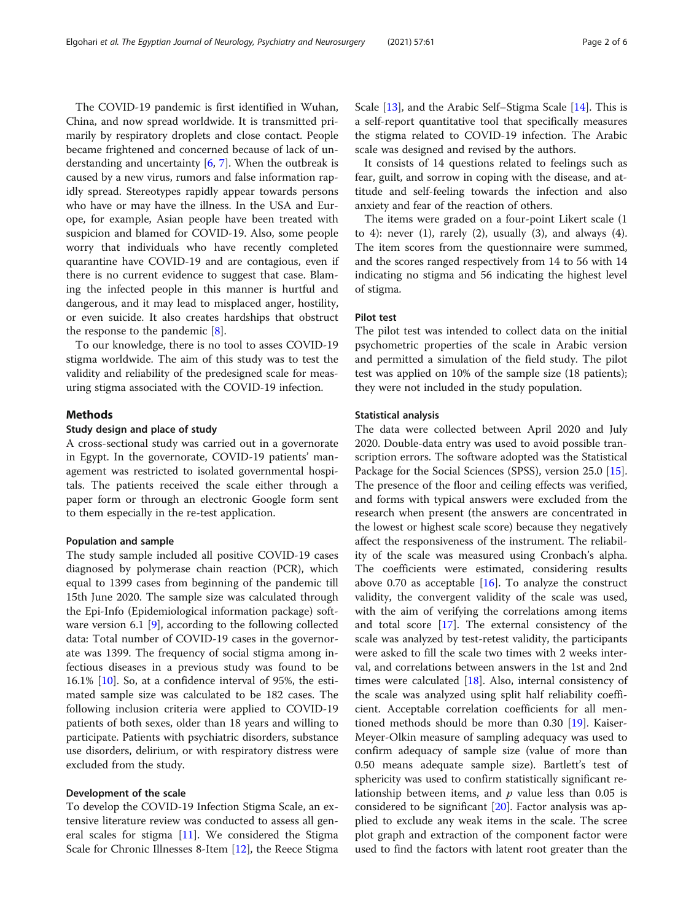The COVID-19 pandemic is first identified in Wuhan, China, and now spread worldwide. It is transmitted primarily by respiratory droplets and close contact. People became frightened and concerned because of lack of understanding and uncertainty [\[6,](#page-5-0) [7\]](#page-5-0). When the outbreak is caused by a new virus, rumors and false information rapidly spread. Stereotypes rapidly appear towards persons who have or may have the illness. In the USA and Europe, for example, Asian people have been treated with suspicion and blamed for COVID-19. Also, some people worry that individuals who have recently completed quarantine have COVID-19 and are contagious, even if there is no current evidence to suggest that case. Blaming the infected people in this manner is hurtful and dangerous, and it may lead to misplaced anger, hostility, or even suicide. It also creates hardships that obstruct the response to the pandemic  $[8]$  $[8]$ .

To our knowledge, there is no tool to asses COVID-19 stigma worldwide. The aim of this study was to test the validity and reliability of the predesigned scale for measuring stigma associated with the COVID-19 infection.

#### Methods

#### Study design and place of study

A cross-sectional study was carried out in a governorate in Egypt. In the governorate, COVID-19 patients' management was restricted to isolated governmental hospitals. The patients received the scale either through a paper form or through an electronic Google form sent to them especially in the re-test application.

#### Population and sample

The study sample included all positive COVID-19 cases diagnosed by polymerase chain reaction (PCR), which equal to 1399 cases from beginning of the pandemic till 15th June 2020. The sample size was calculated through the Epi-Info (Epidemiological information package) software version 6.1 [[9\]](#page-5-0), according to the following collected data: Total number of COVID-19 cases in the governorate was 1399. The frequency of social stigma among infectious diseases in a previous study was found to be 16.1% [\[10\]](#page-5-0). So, at a confidence interval of 95%, the estimated sample size was calculated to be 182 cases. The following inclusion criteria were applied to COVID-19 patients of both sexes, older than 18 years and willing to participate. Patients with psychiatric disorders, substance use disorders, delirium, or with respiratory distress were excluded from the study.

#### Development of the scale

To develop the COVID-19 Infection Stigma Scale, an extensive literature review was conducted to assess all general scales for stigma [\[11](#page-5-0)]. We considered the Stigma Scale for Chronic Illnesses 8-Item [[12\]](#page-5-0), the Reece Stigma Scale [[13\]](#page-5-0), and the Arabic Self–Stigma Scale [[14\]](#page-5-0). This is a self-report quantitative tool that specifically measures the stigma related to COVID-19 infection. The Arabic scale was designed and revised by the authors.

It consists of 14 questions related to feelings such as fear, guilt, and sorrow in coping with the disease, and attitude and self-feeling towards the infection and also anxiety and fear of the reaction of others.

The items were graded on a four-point Likert scale (1 to 4): never  $(1)$ , rarely  $(2)$ , usually  $(3)$ , and always  $(4)$ . The item scores from the questionnaire were summed, and the scores ranged respectively from 14 to 56 with 14 indicating no stigma and 56 indicating the highest level of stigma.

#### Pilot test

The pilot test was intended to collect data on the initial psychometric properties of the scale in Arabic version and permitted a simulation of the field study. The pilot test was applied on 10% of the sample size (18 patients); they were not included in the study population.

#### Statistical analysis

The data were collected between April 2020 and July 2020. Double-data entry was used to avoid possible transcription errors. The software adopted was the Statistical Package for the Social Sciences (SPSS), version 25.0 [\[15](#page-5-0)]. The presence of the floor and ceiling effects was verified, and forms with typical answers were excluded from the research when present (the answers are concentrated in the lowest or highest scale score) because they negatively affect the responsiveness of the instrument. The reliability of the scale was measured using Cronbach's alpha. The coefficients were estimated, considering results above 0.70 as acceptable  $[16]$  $[16]$ . To analyze the construct validity, the convergent validity of the scale was used, with the aim of verifying the correlations among items and total score [\[17](#page-5-0)]. The external consistency of the scale was analyzed by test-retest validity, the participants were asked to fill the scale two times with 2 weeks interval, and correlations between answers in the 1st and 2nd times were calculated [\[18](#page-5-0)]. Also, internal consistency of the scale was analyzed using split half reliability coefficient. Acceptable correlation coefficients for all mentioned methods should be more than 0.30 [[19](#page-5-0)]. Kaiser-Meyer-Olkin measure of sampling adequacy was used to confirm adequacy of sample size (value of more than 0.50 means adequate sample size). Bartlett's test of sphericity was used to confirm statistically significant relationship between items, and  $p$  value less than 0.05 is considered to be significant [[20\]](#page-5-0). Factor analysis was applied to exclude any weak items in the scale. The scree plot graph and extraction of the component factor were used to find the factors with latent root greater than the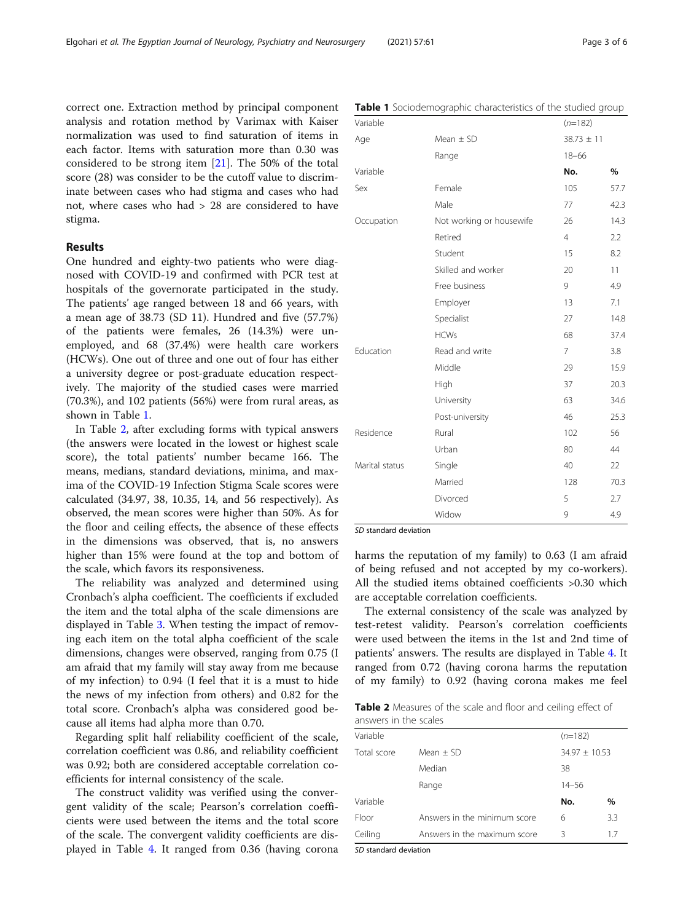correct one. Extraction method by principal component analysis and rotation method by Varimax with Kaiser normalization was used to find saturation of items in each factor. Items with saturation more than 0.30 was considered to be strong item [[21](#page-5-0)]. The 50% of the total score (28) was consider to be the cutoff value to discriminate between cases who had stigma and cases who had not, where cases who had > 28 are considered to have stigma.

#### Results

One hundred and eighty-two patients who were diagnosed with COVID-19 and confirmed with PCR test at hospitals of the governorate participated in the study. The patients' age ranged between 18 and 66 years, with a mean age of 38.73 (SD 11). Hundred and five (57.7%) of the patients were females, 26 (14.3%) were unemployed, and 68 (37.4%) were health care workers (HCWs). One out of three and one out of four has either a university degree or post-graduate education respectively. The majority of the studied cases were married (70.3%), and 102 patients (56%) were from rural areas, as shown in Table 1.

In Table 2, after excluding forms with typical answers (the answers were located in the lowest or highest scale score), the total patients' number became 166. The means, medians, standard deviations, minima, and maxima of the COVID-19 Infection Stigma Scale scores were calculated (34.97, 38, 10.35, 14, and 56 respectively). As observed, the mean scores were higher than 50%. As for the floor and ceiling effects, the absence of these effects in the dimensions was observed, that is, no answers higher than 15% were found at the top and bottom of the scale, which favors its responsiveness.

The reliability was analyzed and determined using Cronbach's alpha coefficient. The coefficients if excluded the item and the total alpha of the scale dimensions are displayed in Table [3.](#page-3-0) When testing the impact of removing each item on the total alpha coefficient of the scale dimensions, changes were observed, ranging from 0.75 (I am afraid that my family will stay away from me because of my infection) to 0.94 (I feel that it is a must to hide the news of my infection from others) and 0.82 for the total score. Cronbach's alpha was considered good because all items had alpha more than 0.70.

Regarding split half reliability coefficient of the scale, correlation coefficient was 0.86, and reliability coefficient was 0.92; both are considered acceptable correlation coefficients for internal consistency of the scale.

The construct validity was verified using the convergent validity of the scale; Pearson's correlation coefficients were used between the items and the total score of the scale. The convergent validity coefficients are displayed in Table [4](#page-3-0). It ranged from 0.36 (having corona

Table 1 Sociodemographic characteristics of the studied group

|                          | $(n=182)$      |      |
|--------------------------|----------------|------|
| Mean $\pm$ SD            | $38.73 \pm 11$ |      |
| Range                    | $18 - 66$      |      |
|                          | No.            | %    |
| Female                   | 105            | 57.7 |
| Male                     | 77             | 42.3 |
| Not working or housewife | 26             | 14.3 |
| Retired                  | $\overline{4}$ | 2.2  |
| Student                  | 15             | 8.2  |
| Skilled and worker       | 20             | 11   |
| Free business            | 9              | 4.9  |
| Employer                 | 13             | 7.1  |
| Specialist               | 27             | 14.8 |
| <b>HCWs</b>              | 68             | 37.4 |
| Read and write           | $\overline{7}$ | 3.8  |
| Middle                   | 29             | 15.9 |
| High                     | 37             | 20.3 |
| University               | 63             | 34.6 |
| Post-university          | 46             | 25.3 |
| Rural                    | 102            | 56   |
| Urban                    | 80             | 44   |
| Single                   | 40             | 22   |
| Married                  | 128            | 70.3 |
| Divorced                 | 5              | 2.7  |
| Widow                    | 9              | 4.9  |
|                          |                |      |

SD standard deviation

harms the reputation of my family) to 0.63 (I am afraid of being refused and not accepted by my co-workers). All the studied items obtained coefficients >0.30 which are acceptable correlation coefficients.

The external consistency of the scale was analyzed by test-retest validity. Pearson's correlation coefficients were used between the items in the 1st and 2nd time of patients' answers. The results are displayed in Table [4.](#page-3-0) It ranged from 0.72 (having corona harms the reputation of my family) to 0.92 (having corona makes me feel

Table 2 Measures of the scale and floor and ceiling effect of answers in the scales

| Variable    |                              | $(n=182)$         |      |
|-------------|------------------------------|-------------------|------|
| Total score | $Mean + SD$                  | $34.97 \pm 10.53$ |      |
|             | Median                       | 38                |      |
|             | Range                        | $14 - 56$         |      |
| Variable    |                              | No.               | $\%$ |
| Floor       | Answers in the minimum score | 6                 | 3.3  |
| Ceiling     | Answers in the maximum score | ζ                 | 17   |

SD standard deviation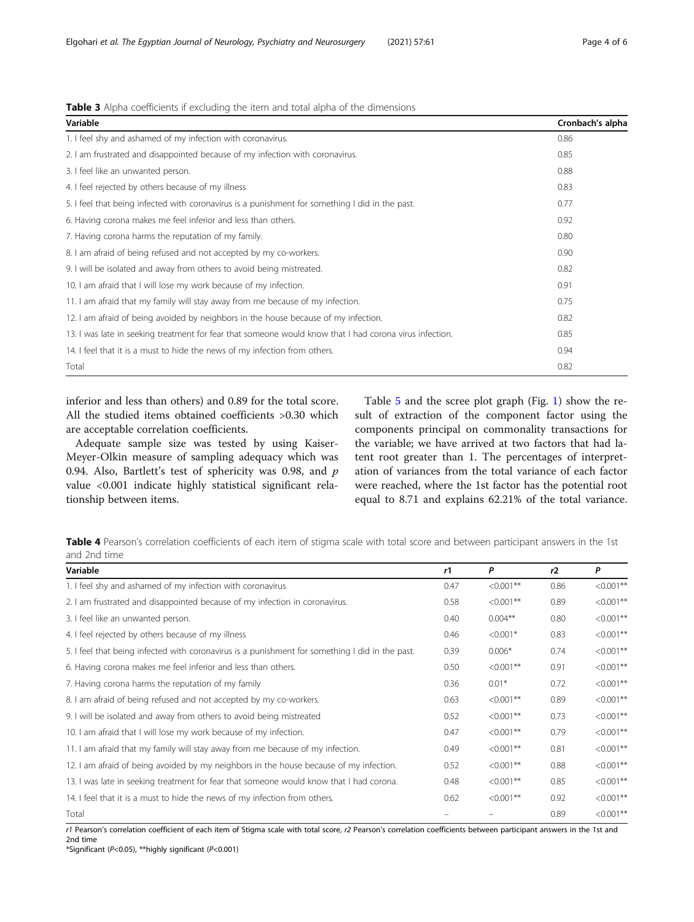<span id="page-3-0"></span>

| <b>Table 3</b> Alpha coefficients if excluding the item and total alpha of the dimensions |  |  |  |  |
|-------------------------------------------------------------------------------------------|--|--|--|--|
|                                                                                           |  |  |  |  |

| Variable                                                                                                | Cronbach's alpha |
|---------------------------------------------------------------------------------------------------------|------------------|
| 1. I feel shy and ashamed of my infection with coronavirus.                                             | 0.86             |
| 2. I am frustrated and disappointed because of my infection with coronavirus.                           | 0.85             |
| 3. I feel like an unwanted person.                                                                      | 0.88             |
| 4. I feel rejected by others because of my illness                                                      | 0.83             |
| 5. I feel that being infected with coronavirus is a punishment for something I did in the past.         | 0.77             |
| 6. Having corona makes me feel inferior and less than others.                                           | 0.92             |
| 7. Having corona harms the reputation of my family.                                                     | 0.80             |
| 8. I am afraid of being refused and not accepted by my co-workers.                                      | 0.90             |
| 9. I will be isolated and away from others to avoid being mistreated.                                   | 0.82             |
| 10. I am afraid that I will lose my work because of my infection.                                       | 0.91             |
| 11. I am afraid that my family will stay away from me because of my infection.                          | 0.75             |
| 12. I am afraid of being avoided by neighbors in the house because of my infection.                     | 0.82             |
| 13. I was late in seeking treatment for fear that someone would know that I had corona virus infection. | 0.85             |
| 14. I feel that it is a must to hide the news of my infection from others.                              | 0.94             |
| Total                                                                                                   | 0.82             |

inferior and less than others) and 0.89 for the total score. All the studied items obtained coefficients >0.30 which are acceptable correlation coefficients.

Adequate sample size was tested by using Kaiser-Meyer-Olkin measure of sampling adequacy which was 0.94. Also, Bartlett's test of sphericity was 0.98, and  $p$ value <0.001 indicate highly statistical significant relationship between items.

Table [5](#page-4-0) and the scree plot graph (Fig. [1](#page-4-0)) show the result of extraction of the component factor using the components principal on commonality transactions for the variable; we have arrived at two factors that had latent root greater than 1. The percentages of interpretation of variances from the total variance of each factor were reached, where the 1st factor has the potential root equal to 8.71 and explains 62.21% of the total variance.

Table 4 Pearson's correlation coefficients of each item of stigma scale with total score and between participant answers in the 1st and 2nd time

| Variable                                                                                        | r1   | P            | r2   | P            |
|-------------------------------------------------------------------------------------------------|------|--------------|------|--------------|
| 1. I feel shy and ashamed of my infection with coronavirus                                      | 0.47 | $< 0.001$ ** | 0.86 | $< 0.001$ ** |
| 2. I am frustrated and disappointed because of my infection in coronavirus.                     | 0.58 | $< 0.001$ ** | 0.89 | $< 0.001$ ** |
| 3. I feel like an unwanted person.                                                              | 0.40 | $0.004**$    | 0.80 | $< 0.001$ ** |
| 4. I feel rejected by others because of my illness                                              | 0.46 | $< 0.001*$   | 0.83 | $< 0.001**$  |
| 5. I feel that being infected with coronavirus is a punishment for something I did in the past. | 0.39 | $0.006*$     | 0.74 | $< 0.001$ ** |
| 6. Having corona makes me feel inferior and less than others.                                   | 0.50 | $< 0.001$ ** | 0.91 | $< 0.001$ ** |
| 7. Having corona harms the reputation of my family                                              | 0.36 | $0.01*$      | 0.72 | $< 0.001$ ** |
| 8. I am afraid of being refused and not accepted by my co-workers.                              | 0.63 | $< 0.001$ ** | 0.89 | $< 0.001**$  |
| 9. I will be isolated and away from others to avoid being mistreated                            | 0.52 | $< 0.001$ ** | 0.73 | $< 0.001$ ** |
| 10. I am afraid that I will lose my work because of my infection.                               | 0.47 | $< 0.001$ ** | 0.79 | $< 0.001$ ** |
| 11. I am afraid that my family will stay away from me because of my infection.                  | 0.49 | $< 0.001$ ** | 0.81 | $< 0.001$ ** |
| 12. I am afraid of being avoided by my neighbors in the house because of my infection.          | 0.52 | $< 0.001$ ** | 0.88 | $< 0.001$ ** |
| 13. I was late in seeking treatment for fear that someone would know that I had corona.         | 0.48 | $< 0.001$ ** | 0.85 | $< 0.001$ ** |
| 14. I feel that it is a must to hide the news of my infection from others.                      | 0.62 | $< 0.001$ ** | 0.92 | $< 0.001$ ** |
| Total                                                                                           |      |              | 0.89 | $< 0.001**$  |

r1 Pearson's correlation coefficient of each item of Stigma scale with total score, r2 Pearson's correlation coefficients between participant answers in the 1st and 2nd time

\*Significant (P<0.05), \*\*highly significant (P<0.001)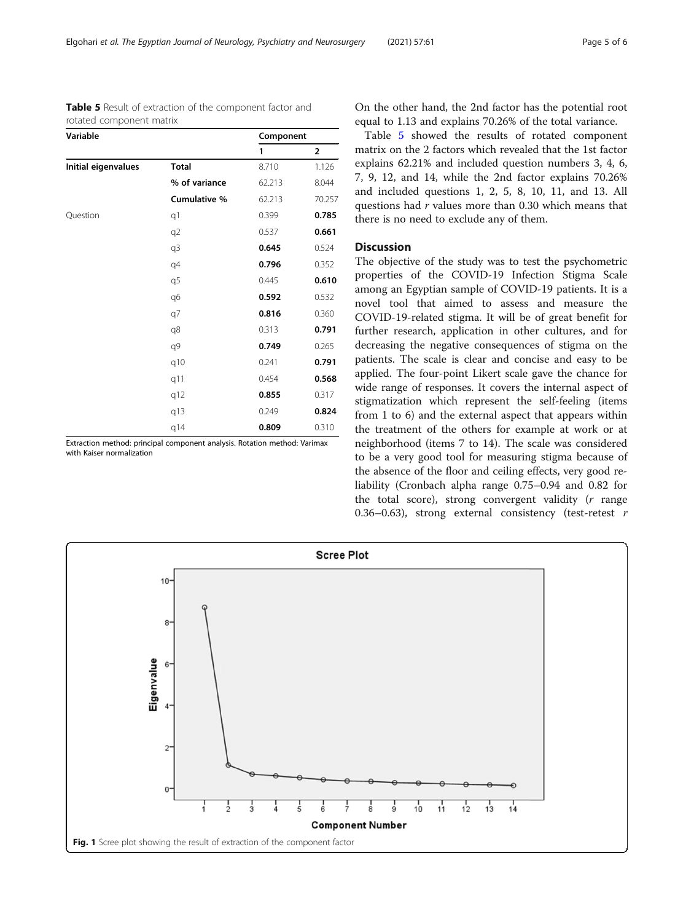<span id="page-4-0"></span>Elgohari et al. The Egyptian Journal of Neurology, Psychiatry and Neurosurgery (2021) 57:61 Page 5 of 6

| Table 5 Result of extraction of the component factor and |  |  |
|----------------------------------------------------------|--|--|
| rotated component matrix                                 |  |  |

| Variable            |               | Component |                         |  |
|---------------------|---------------|-----------|-------------------------|--|
|                     |               | 1         | $\overline{\mathbf{2}}$ |  |
| Initial eigenvalues | <b>Total</b>  | 8.710     | 1.126                   |  |
|                     | % of variance | 62.213    | 8.044                   |  |
|                     | Cumulative %  | 62.213    | 70.257                  |  |
| Question            | q1            | 0.399     | 0.785                   |  |
|                     | q2            | 0.537     | 0.661                   |  |
|                     | q3            | 0.645     | 0.524                   |  |
|                     | q4            | 0.796     | 0.352                   |  |
|                     | q5            | 0.445     | 0.610                   |  |
|                     | q6            | 0.592     | 0.532                   |  |
|                     | q7            | 0.816     | 0.360                   |  |
|                     | q8            | 0.313     | 0.791                   |  |
|                     | q9            | 0.749     | 0.265                   |  |
|                     | q10           | 0.241     | 0.791                   |  |
|                     | q11           | 0.454     | 0.568                   |  |
|                     | q12           | 0.855     | 0.317                   |  |
|                     | q13           | 0.249     | 0.824                   |  |
|                     | q14           | 0.809     | 0.310                   |  |

Extraction method: principal component analysis. Rotation method: Varimax with Kaiser normalization

On the other hand, the 2nd factor has the potential root equal to 1.13 and explains 70.26% of the total variance.

Table 5 showed the results of rotated component matrix on the 2 factors which revealed that the 1st factor explains 62.21% and included question numbers 3, 4, 6, 7, 9, 12, and 14, while the 2nd factor explains 70.26% and included questions 1, 2, 5, 8, 10, 11, and 13. All questions had r values more than 0.30 which means that there is no need to exclude any of them.

### Discussion

The objective of the study was to test the psychometric properties of the COVID-19 Infection Stigma Scale among an Egyptian sample of COVID-19 patients. It is a novel tool that aimed to assess and measure the COVID-19-related stigma. It will be of great benefit for further research, application in other cultures, and for decreasing the negative consequences of stigma on the patients. The scale is clear and concise and easy to be applied. The four-point Likert scale gave the chance for wide range of responses. It covers the internal aspect of stigmatization which represent the self-feeling (items from 1 to 6) and the external aspect that appears within the treatment of the others for example at work or at neighborhood (items 7 to 14). The scale was considered to be a very good tool for measuring stigma because of the absence of the floor and ceiling effects, very good reliability (Cronbach alpha range 0.75–0.94 and 0.82 for the total score), strong convergent validity  $(r \text{ range})$ 0.36–0.63), strong external consistency (test-retest  $r$